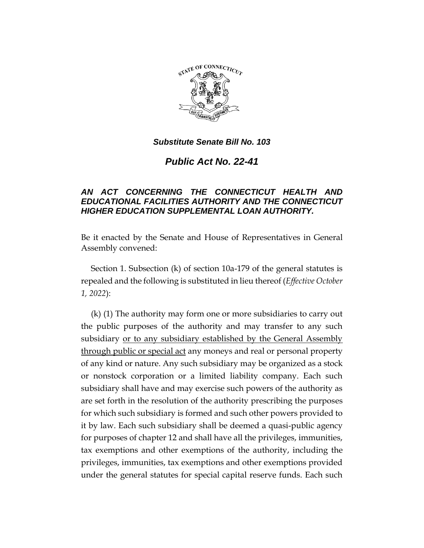

*Public Act No. 22-41*

# *AN ACT CONCERNING THE CONNECTICUT HEALTH AND EDUCATIONAL FACILITIES AUTHORITY AND THE CONNECTICUT HIGHER EDUCATION SUPPLEMENTAL LOAN AUTHORITY.*

Be it enacted by the Senate and House of Representatives in General Assembly convened:

Section 1. Subsection (k) of section 10a-179 of the general statutes is repealed and the following is substituted in lieu thereof (*Effective October 1, 2022*):

(k) (1) The authority may form one or more subsidiaries to carry out the public purposes of the authority and may transfer to any such subsidiary or to any subsidiary established by the General Assembly through public or special act any moneys and real or personal property of any kind or nature. Any such subsidiary may be organized as a stock or nonstock corporation or a limited liability company. Each such subsidiary shall have and may exercise such powers of the authority as are set forth in the resolution of the authority prescribing the purposes for which such subsidiary is formed and such other powers provided to it by law. Each such subsidiary shall be deemed a quasi-public agency for purposes of chapter 12 and shall have all the privileges, immunities, tax exemptions and other exemptions of the authority, including the privileges, immunities, tax exemptions and other exemptions provided under the general statutes for special capital reserve funds. Each such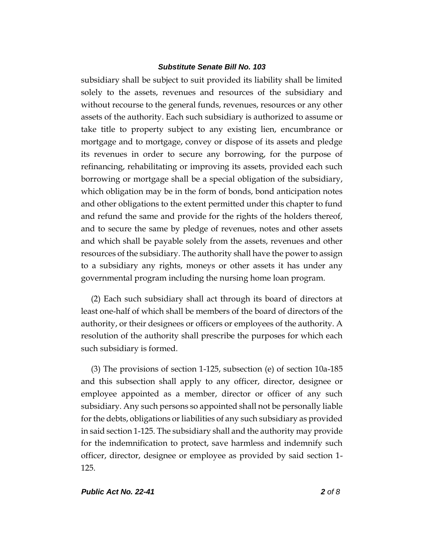subsidiary shall be subject to suit provided its liability shall be limited solely to the assets, revenues and resources of the subsidiary and without recourse to the general funds, revenues, resources or any other assets of the authority. Each such subsidiary is authorized to assume or take title to property subject to any existing lien, encumbrance or mortgage and to mortgage, convey or dispose of its assets and pledge its revenues in order to secure any borrowing, for the purpose of refinancing, rehabilitating or improving its assets, provided each such borrowing or mortgage shall be a special obligation of the subsidiary, which obligation may be in the form of bonds, bond anticipation notes and other obligations to the extent permitted under this chapter to fund and refund the same and provide for the rights of the holders thereof, and to secure the same by pledge of revenues, notes and other assets and which shall be payable solely from the assets, revenues and other resources of the subsidiary. The authority shall have the power to assign to a subsidiary any rights, moneys or other assets it has under any governmental program including the nursing home loan program.

(2) Each such subsidiary shall act through its board of directors at least one-half of which shall be members of the board of directors of the authority, or their designees or officers or employees of the authority. A resolution of the authority shall prescribe the purposes for which each such subsidiary is formed.

(3) The provisions of section 1-125, subsection (e) of section 10a-185 and this subsection shall apply to any officer, director, designee or employee appointed as a member, director or officer of any such subsidiary. Any such persons so appointed shall not be personally liable for the debts, obligations or liabilities of any such subsidiary as provided in said section 1-125. The subsidiary shall and the authority may provide for the indemnification to protect, save harmless and indemnify such officer, director, designee or employee as provided by said section 1- 125.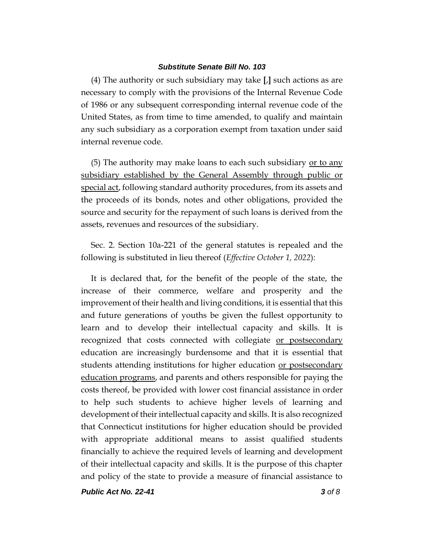(4) The authority or such subsidiary may take **[**,**]** such actions as are necessary to comply with the provisions of the Internal Revenue Code of 1986 or any subsequent corresponding internal revenue code of the United States, as from time to time amended, to qualify and maintain any such subsidiary as a corporation exempt from taxation under said internal revenue code.

(5) The authority may make loans to each such subsidiary  $or to any$ </u> subsidiary established by the General Assembly through public or special act, following standard authority procedures, from its assets and the proceeds of its bonds, notes and other obligations, provided the source and security for the repayment of such loans is derived from the assets, revenues and resources of the subsidiary.

Sec. 2. Section 10a-221 of the general statutes is repealed and the following is substituted in lieu thereof (*Effective October 1, 2022*):

It is declared that, for the benefit of the people of the state, the increase of their commerce, welfare and prosperity and the improvement of their health and living conditions, it is essential that this and future generations of youths be given the fullest opportunity to learn and to develop their intellectual capacity and skills. It is recognized that costs connected with collegiate or postsecondary education are increasingly burdensome and that it is essential that students attending institutions for higher education or postsecondary education programs, and parents and others responsible for paying the costs thereof, be provided with lower cost financial assistance in order to help such students to achieve higher levels of learning and development of their intellectual capacity and skills. It is also recognized that Connecticut institutions for higher education should be provided with appropriate additional means to assist qualified students financially to achieve the required levels of learning and development of their intellectual capacity and skills. It is the purpose of this chapter and policy of the state to provide a measure of financial assistance to

*Public Act No. 22-41 3 of 8*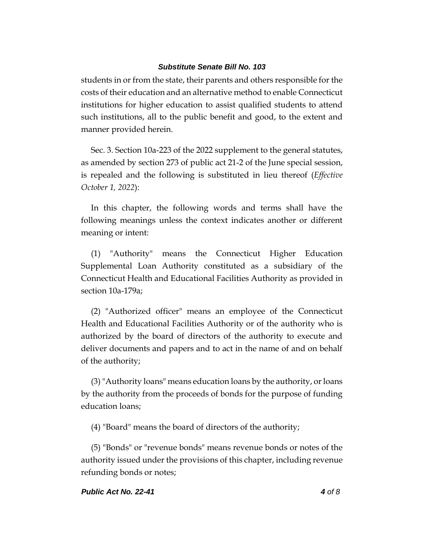students in or from the state, their parents and others responsible for the costs of their education and an alternative method to enable Connecticut institutions for higher education to assist qualified students to attend such institutions, all to the public benefit and good, to the extent and manner provided herein.

Sec. 3. Section 10a-223 of the 2022 supplement to the general statutes, as amended by section 273 of public act 21-2 of the June special session, is repealed and the following is substituted in lieu thereof (*Effective October 1, 2022*):

In this chapter, the following words and terms shall have the following meanings unless the context indicates another or different meaning or intent:

(1) "Authority" means the Connecticut Higher Education Supplemental Loan Authority constituted as a subsidiary of the Connecticut Health and Educational Facilities Authority as provided in section 10a-179a;

(2) "Authorized officer" means an employee of the Connecticut Health and Educational Facilities Authority or of the authority who is authorized by the board of directors of the authority to execute and deliver documents and papers and to act in the name of and on behalf of the authority;

(3)"Authority loans" means education loans by the authority, or loans by the authority from the proceeds of bonds for the purpose of funding education loans;

(4) "Board" means the board of directors of the authority;

(5) "Bonds" or "revenue bonds" means revenue bonds or notes of the authority issued under the provisions of this chapter, including revenue refunding bonds or notes;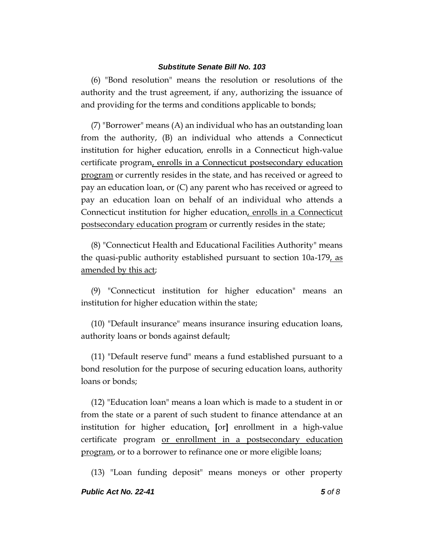(6) "Bond resolution" means the resolution or resolutions of the authority and the trust agreement, if any, authorizing the issuance of and providing for the terms and conditions applicable to bonds;

(7) "Borrower" means (A) an individual who has an outstanding loan from the authority, (B) an individual who attends a Connecticut institution for higher education, enrolls in a Connecticut high-value certificate program, enrolls in a Connecticut postsecondary education program or currently resides in the state, and has received or agreed to pay an education loan, or (C) any parent who has received or agreed to pay an education loan on behalf of an individual who attends a Connecticut institution for higher education, enrolls in a Connecticut postsecondary education program or currently resides in the state;

(8) "Connecticut Health and Educational Facilities Authority" means the quasi-public authority established pursuant to section 10a-179, as amended by this act;

(9) "Connecticut institution for higher education" means an institution for higher education within the state;

(10) "Default insurance" means insurance insuring education loans, authority loans or bonds against default;

(11) "Default reserve fund" means a fund established pursuant to a bond resolution for the purpose of securing education loans, authority loans or bonds;

(12) "Education loan" means a loan which is made to a student in or from the state or a parent of such student to finance attendance at an institution for higher education, **[**or**]** enrollment in a high-value certificate program or enrollment in a postsecondary education program, or to a borrower to refinance one or more eligible loans;

(13) "Loan funding deposit" means moneys or other property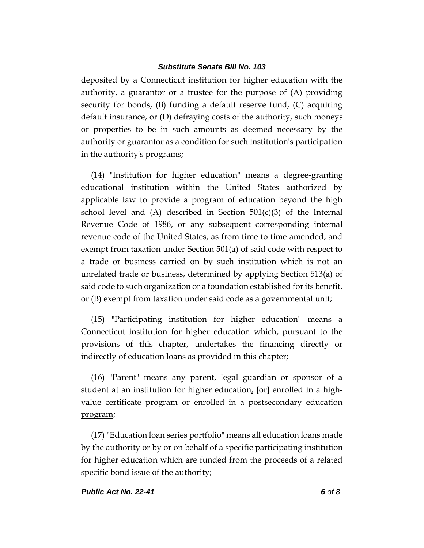deposited by a Connecticut institution for higher education with the authority, a guarantor or a trustee for the purpose of (A) providing security for bonds, (B) funding a default reserve fund, (C) acquiring default insurance, or (D) defraying costs of the authority, such moneys or properties to be in such amounts as deemed necessary by the authority or guarantor as a condition for such institution's participation in the authority's programs;

(14) "Institution for higher education" means a degree-granting educational institution within the United States authorized by applicable law to provide a program of education beyond the high school level and  $(A)$  described in Section  $501(c)(3)$  of the Internal Revenue Code of 1986, or any subsequent corresponding internal revenue code of the United States, as from time to time amended, and exempt from taxation under Section 501(a) of said code with respect to a trade or business carried on by such institution which is not an unrelated trade or business, determined by applying Section 513(a) of said code to such organization or a foundation established for its benefit, or (B) exempt from taxation under said code as a governmental unit;

(15) "Participating institution for higher education" means a Connecticut institution for higher education which, pursuant to the provisions of this chapter, undertakes the financing directly or indirectly of education loans as provided in this chapter;

(16) "Parent" means any parent, legal guardian or sponsor of a student at an institution for higher education, **[**or**]** enrolled in a highvalue certificate program or enrolled in a postsecondary education program;

(17) "Education loan series portfolio" means all education loans made by the authority or by or on behalf of a specific participating institution for higher education which are funded from the proceeds of a related specific bond issue of the authority;

### *Public Act No. 22-41 6 of 8*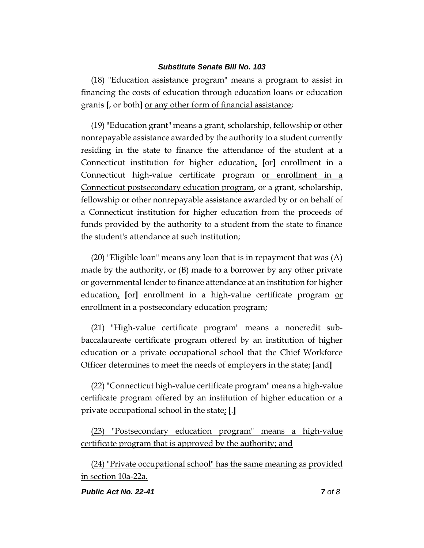(18) "Education assistance program" means a program to assist in financing the costs of education through education loans or education grants **[**, or both**]** or any other form of financial assistance;

(19) "Education grant" means a grant, scholarship, fellowship or other nonrepayable assistance awarded by the authority to a student currently residing in the state to finance the attendance of the student at a Connecticut institution for higher education, **[**or**]** enrollment in a Connecticut high-value certificate program or enrollment in a Connecticut postsecondary education program, or a grant, scholarship, fellowship or other nonrepayable assistance awarded by or on behalf of a Connecticut institution for higher education from the proceeds of funds provided by the authority to a student from the state to finance the student's attendance at such institution;

(20) "Eligible loan" means any loan that is in repayment that was (A) made by the authority, or (B) made to a borrower by any other private or governmental lender to finance attendance at an institution for higher education, **[**or**]** enrollment in a high-value certificate program or enrollment in a postsecondary education program;

(21) "High-value certificate program" means a noncredit subbaccalaureate certificate program offered by an institution of higher education or a private occupational school that the Chief Workforce Officer determines to meet the needs of employers in the state; **[**and**]**

(22) "Connecticut high-value certificate program" means a high-value certificate program offered by an institution of higher education or a private occupational school in the state; **[**.**]**

(23) "Postsecondary education program" means a high-value certificate program that is approved by the authority; and

(24) "Private occupational school" has the same meaning as provided in section 10a-22a.